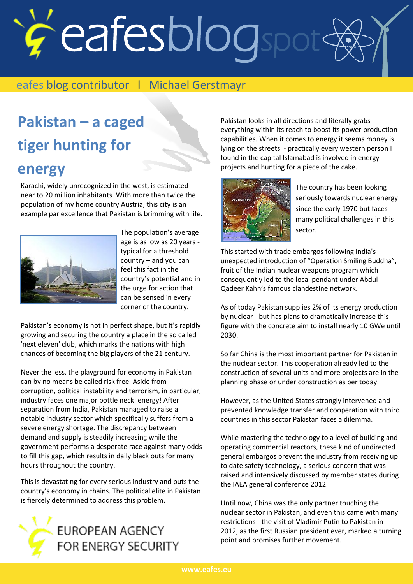# eafesblogspot

#### eafes blog contributor l Michael Gerstmayr

## **Pakistan – a caged tiger hunting for energy**

Karachi, widely unrecognized in the west, is estimated near to 20 million inhabitants. With more than twice the population of my home country Austria, this city is an example par excellence that Pakistan is brimming with life.



The population's average age is as low as 20 years typical for a threshold country – and you can feel this fact in the country's potential and in the urge for action that can be sensed in every corner of the country.

Pakistan's economy is not in perfect shape, but it's rapidly growing and securing the country a place in the so called 'next eleven' club, which marks the nations with high chances of becoming the big players of the 21 century.

Never the less, the playground for economy in Pakistan can by no means be called risk free. Aside from corruption, political instability and terrorism, in particular, industry faces one major bottle neck: energy! After separation from India, Pakistan managed to raise a notable industry sector which specifically suffers from a severe energy shortage. The discrepancy between demand and supply is steadily increasing while the government performs a desperate race against many odds to fill this gap, which results in daily black outs for many hours throughout the country.

This is devastating for every serious industry and puts the country's economy in chains. The political elite in Pakistan is fiercely determined to address this problem.



Pakistan looks in all directions and literally grabs everything within its reach to boost its power production capabilities. When it comes to energy it seems money is lying on the streets - practically every western person I found in the capital Islamabad is involved in energy projects and hunting for a piece of the cake.



The country has been looking seriously towards nuclear energy since the early 1970 but faces many political challenges in this sector.

This started with trade embargos following India's unexpected introduction of "Operation Smiling Buddha", fruit of the Indian nuclear weapons program which consequently led to the local pendant under Abdul Qadeer Kahn's famous clandestine network.

As of today Pakistan supplies 2% of its energy production by nuclear - but has plans to dramatically increase this figure with the concrete aim to install nearly 10 GWe until 2030.

So far China is the most important partner for Pakistan in the nuclear sector. This cooperation already led to the construction of several units and more projects are in the planning phase or under construction as per today.

However, as the United States strongly intervened and prevented knowledge transfer and cooperation with third countries in this sector Pakistan faces a dilemma.

While mastering the technology to a level of building and operating commercial reactors, these kind of undirected general embargos prevent the industry from receiving up to date safety technology, a serious concern that was raised and intensively discussed by member states during the IAEA general conference 2012.

Until now, China was the only partner touching the nuclear sector in Pakistan, and even this came with many restrictions - the visit of Vladimir Putin to Pakistan in 2012, as the first Russian president ever, marked a turning point and promises further movement.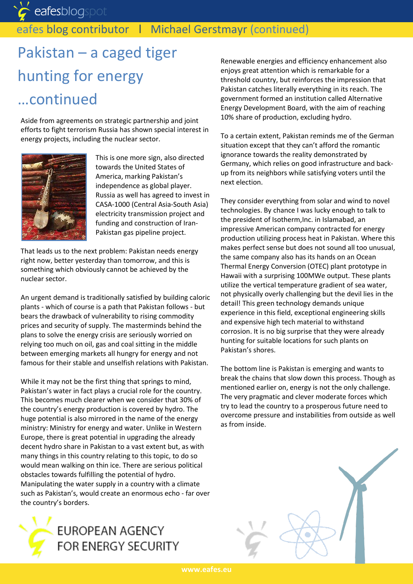eafesblogspot

### eafes blog contributor | Michael Gerstmayr (continued)

## Pakistan – a caged tiger hunting for energy …continued

Aside from agreements on strategic partnership and joint efforts to fight terrorism Russia has shown special interest in energy projects, including the nuclear sector.



This is one more sign, also directed towards the United States of America, marking Pakistan's independence as global player. Russia as well has agreed to invest in CASA-1000 (Central Asia-South Asia) electricity transmission project and funding and construction of Iran-Pakistan gas pipeline project.

That leads us to the next problem: Pakistan needs energy right now, better yesterday than tomorrow, and this is something which obviously cannot be achieved by the nuclear sector.

An urgent demand is traditionally satisfied by building caloric plants - which of course is a path that Pakistan follows - but bears the drawback of vulnerability to rising commodity prices and security of supply. The masterminds behind the plans to solve the energy crisis are seriously worried on relying too much on oil, gas and coal sitting in the middle between emerging markets all hungry for energy and not famous for their stable and unselfish relations with Pakistan.

While it may not be the first thing that springs to mind, Pakistan's water in fact plays a crucial role for the country. This becomes much clearer when we consider that 30% of the country's energy production is covered by hydro. The huge potential is also mirrored in the name of the energy ministry: Ministry for energy and water. Unlike in Western Europe, there is great potential in upgrading the already decent hydro share in Pakistan to a vast extent but, as with many things in this country relating to this topic, to do so would mean walking on thin ice. There are serious political obstacles towards fulfilling the potential of hydro. Manipulating the water supply in a country with a climate such as Pakistan's, would create an enormous echo - far over the country's borders.



Renewable energies and efficiency enhancement also enjoys great attention which is remarkable for a threshold country, but reinforces the impression that Pakistan catches literally everything in its reach. The government formed an institution called Alternative Energy Development Board, with the aim of reaching 10% share of production, excluding hydro.

To a certain extent, Pakistan reminds me of the German situation except that they can't afford the romantic ignorance towards the reality demonstrated by Germany, which relies on good infrastructure and backup from its neighbors while satisfying voters until the next election.

They consider everything from solar and wind to novel technologies. By chance I was lucky enough to talk to the president of Isotherm,Inc. in Islamabad, an impressive American company contracted for energy production utilizing process heat in Pakistan. Where this makes perfect sense but does not sound all too unusual, the same company also has its hands on an Ocean Thermal Energy Conversion (OTEC) plant prototype in Hawaii with a surprising 100MWe output. These plants utilize the vertical temperature gradient of sea water, not physically overly challenging but the devil lies in the detail! This green technology demands unique experience in this field, exceptional engineering skills and expensive high tech material to withstand corrosion. It is no big surprise that they were already hunting for suitable locations for such plants on Pakistan's shores.

The bottom line is Pakistan is emerging and wants to break the chains that slow down this process. Though as mentioned earlier on, energy is not the only challenge. The very pragmatic and clever moderate forces which try to lead the country to a prosperous future need to overcome pressure and instabilities from outside as well as from inside.